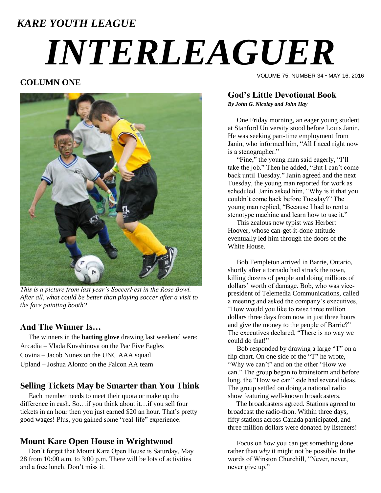# *KARE YOUTH LEAGUE INTERLEAGUER*

#### **COLUMN ONE**



*This is a picture from last year's SoccerFest in the Rose Bowl. After all, what could be better than playing soccer after a visit to the face painting booth?*

#### **And The Winner Is…**

 The winners in the **batting glove** drawing last weekend were: Arcadia – Vlada Kuvshinova on the Pac Five Eagles Covina – Jacob Nunez on the UNC AAA squad Upland – Joshua Alonzo on the Falcon AA team

#### **Selling Tickets May be Smarter than You Think**

 Each member needs to meet their quota or make up the difference in cash. So…if you think about it…if you sell four tickets in an hour then you just earned \$20 an hour. That's pretty good wages! Plus, you gained some "real-life" experience.

#### **Mount Kare Open House in Wrightwood**

 Don't forget that Mount Kare Open House is Saturday, May 28 from 10:00 a.m. to 3:00 p.m. There will be lots of activities and a free lunch. Don't miss it.

VOLUME 75, NUMBER 34 • MAY 16, 2016

#### **God's Little Devotional Book**

*By John G. Nicolay and John Hay*

One Friday morning, an eager young student at Stanford University stood before Louis Janin. He was seeking part-time employment from Janin, who informed him, "All I need right now is a stenographer."

"Fine," the young man said eagerly, "I'll take the job." Then he added, "But I can't come back until Tuesday." Janin agreed and the next Tuesday, the young man reported for work as scheduled. Janin asked him, "Why is it that you couldn't come back before Tuesday?" The young man replied, "Because I had to rent a stenotype machine and learn how to use it."

This zealous new typist was Herbert Hoover, whose can-get-it-done attitude eventually led him through the doors of the White House.

Bob Templeton arrived in Barrie, Ontario, shortly after a tornado had struck the town, killing dozens of people and doing millions of dollars' worth of damage. Bob, who was vicepresident of Telemedia Communications, called a meeting and asked the company's executives, "How would you like to raise three million dollars three days from now in just three hours and give the money to the people of Barrie?" The executives declared, "There is no way we could do that!"

Bob responded by drawing a large "T" on a flip chart. On one side of the "T" he wrote, "Why we can't" and on the other "How we can." The group began to brainstorm and before long, the "How we can" side had several ideas. The group settled on doing a national radio show featuring well-known broadcasters.

 The broadcasters agreed. Stations agreed to broadcast the radio-thon. Within three days, fifty stations across Canada participated, and three million dollars were donated by listeners!

Focus on *how* you can get something done rather than *why* it might not be possible. In the words of Winston Churchill, "Never, never, never give up."